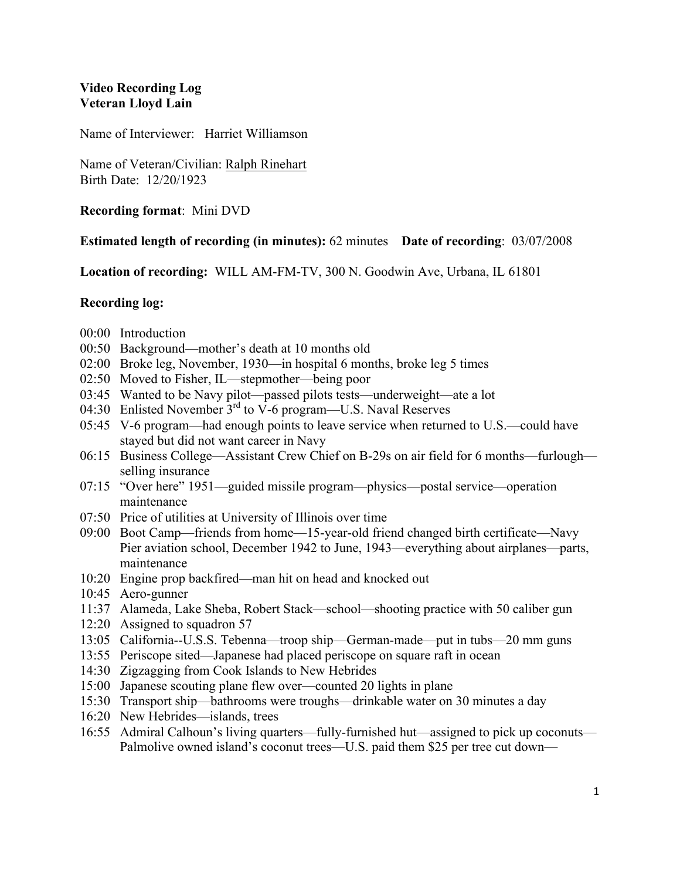## **Video Recording Log Veteran Lloyd Lain**

Name of Interviewer: Harriet Williamson

Name of Veteran/Civilian: Ralph Rinehart Birth Date: 12/20/1923

**Recording format**: Mini DVD

## **Estimated length of recording (in minutes):** 62 minutes **Date of recording**: 03/07/2008

**Location of recording:** WILL AM-FM-TV, 300 N. Goodwin Ave, Urbana, IL 61801

## **Recording log:**

- 00:00 Introduction
- 00:50 Background—mother's death at 10 months old
- 02:00 Broke leg, November, 1930—in hospital 6 months, broke leg 5 times
- 02:50 Moved to Fisher, IL—stepmother—being poor
- 03:45 Wanted to be Navy pilot—passed pilots tests—underweight—ate a lot
- 04:30 Enlisted November  $3<sup>rd</sup>$  to V-6 program—U.S. Naval Reserves
- 05:45 V-6 program—had enough points to leave service when returned to U.S.—could have stayed but did not want career in Navy
- 06:15 Business College—Assistant Crew Chief on B-29s on air field for 6 months—furlough selling insurance
- 07:15 "Over here" 1951—guided missile program—physics—postal service—operation maintenance
- 07:50 Price of utilities at University of Illinois over time
- 09:00 Boot Camp—friends from home—15-year-old friend changed birth certificate—Navy Pier aviation school, December 1942 to June, 1943—everything about airplanes—parts, maintenance
- 10:20 Engine prop backfired—man hit on head and knocked out
- 10:45 Aero-gunner
- 11:37 Alameda, Lake Sheba, Robert Stack—school—shooting practice with 50 caliber gun
- 12:20 Assigned to squadron 57
- 13:05 California--U.S.S. Tebenna—troop ship—German-made—put in tubs—20 mm guns
- 13:55 Periscope sited—Japanese had placed periscope on square raft in ocean
- 14:30 Zigzagging from Cook Islands to New Hebrides
- 15:00 Japanese scouting plane flew over—counted 20 lights in plane
- 15:30 Transport ship—bathrooms were troughs—drinkable water on 30 minutes a day
- 16:20 New Hebrides—islands, trees
- 16:55 Admiral Calhoun's living quarters—fully-furnished hut—assigned to pick up coconuts— Palmolive owned island's coconut trees—U.S. paid them \$25 per tree cut down—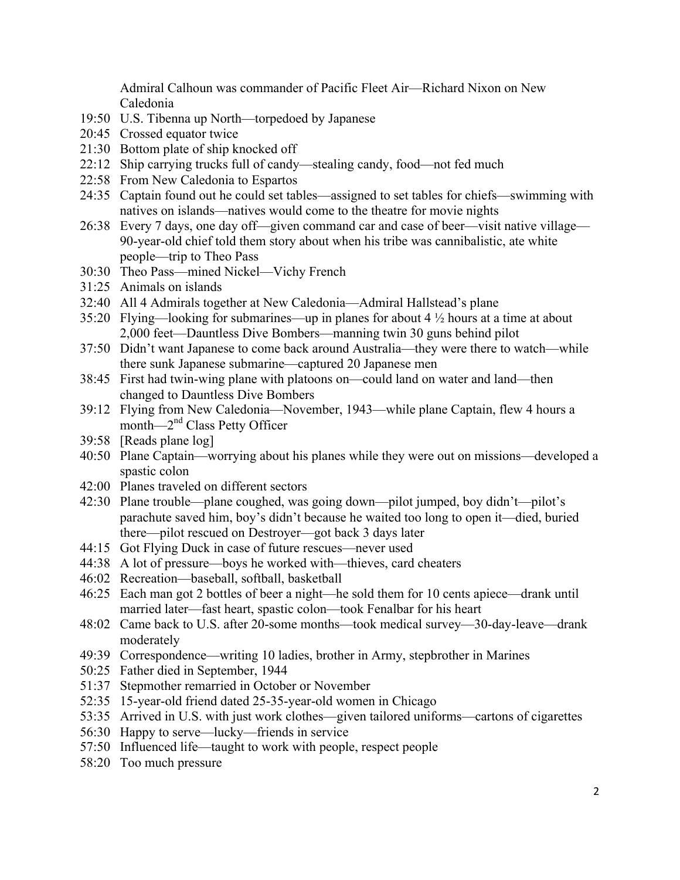Admiral Calhoun was commander of Pacific Fleet Air—Richard Nixon on New Caledonia

- 19:50 U.S. Tibenna up North—torpedoed by Japanese
- 20:45 Crossed equator twice
- 21:30 Bottom plate of ship knocked off
- 22:12 Ship carrying trucks full of candy—stealing candy, food—not fed much
- 22:58 From New Caledonia to Espartos
- 24:35 Captain found out he could set tables—assigned to set tables for chiefs—swimming with natives on islands—natives would come to the theatre for movie nights
- 26:38 Every 7 days, one day off—given command car and case of beer—visit native village— 90-year-old chief told them story about when his tribe was cannibalistic, ate white people—trip to Theo Pass
- 30:30 Theo Pass—mined Nickel—Vichy French
- 31:25 Animals on islands
- 32:40 All 4 Admirals together at New Caledonia—Admiral Hallstead's plane
- 35:20 Flying—looking for submarines—up in planes for about 4 ½ hours at a time at about 2,000 feet—Dauntless Dive Bombers—manning twin 30 guns behind pilot
- 37:50 Didn't want Japanese to come back around Australia—they were there to watch—while there sunk Japanese submarine—captured 20 Japanese men
- 38:45 First had twin-wing plane with platoons on—could land on water and land—then changed to Dauntless Dive Bombers
- 39:12 Flying from New Caledonia—November, 1943—while plane Captain, flew 4 hours a month—2<sup>nd</sup> Class Petty Officer
- 39:58 [Reads plane log]
- 40:50 Plane Captain—worrying about his planes while they were out on missions—developed a spastic colon
- 42:00 Planes traveled on different sectors
- 42:30 Plane trouble—plane coughed, was going down—pilot jumped, boy didn't—pilot's parachute saved him, boy's didn't because he waited too long to open it—died, buried there—pilot rescued on Destroyer—got back 3 days later
- 44:15 Got Flying Duck in case of future rescues—never used
- 44:38 A lot of pressure—boys he worked with—thieves, card cheaters
- 46:02 Recreation—baseball, softball, basketball
- 46:25 Each man got 2 bottles of beer a night—he sold them for 10 cents apiece—drank until married later—fast heart, spastic colon—took Fenalbar for his heart
- 48:02 Came back to U.S. after 20-some months—took medical survey—30-day-leave—drank moderately
- 49:39 Correspondence—writing 10 ladies, brother in Army, stepbrother in Marines
- 50:25 Father died in September, 1944
- 51:37 Stepmother remarried in October or November
- 52:35 15-year-old friend dated 25-35-year-old women in Chicago
- 53:35 Arrived in U.S. with just work clothes—given tailored uniforms—cartons of cigarettes
- 56:30 Happy to serve—lucky—friends in service
- 57:50 Influenced life—taught to work with people, respect people
- 58:20 Too much pressure